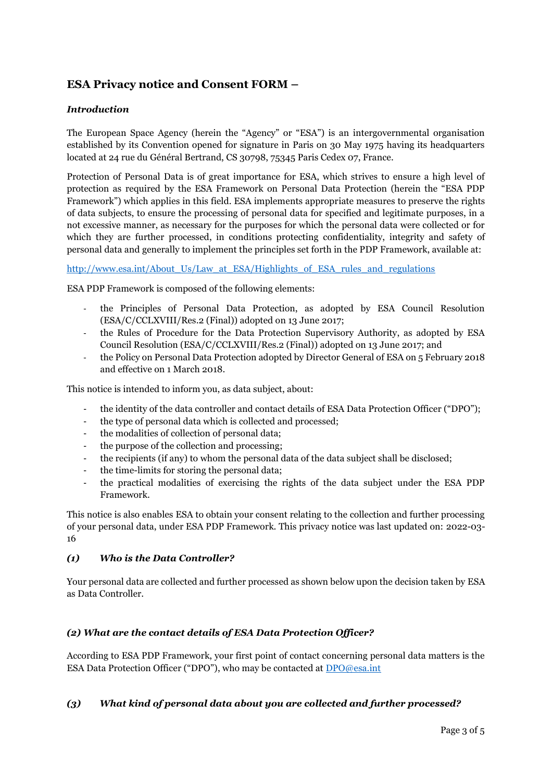# **ESA Privacy notice and Consent FORM –**

#### *Introduction*

The European Space Agency (herein the "Agency" or "ESA") is an intergovernmental organisation established by its Convention opened for signature in Paris on 30 May 1975 having its headquarters located at 24 rue du Général Bertrand, CS 30798, 75345 Paris Cedex 07, France.

Protection of Personal Data is of great importance for ESA, which strives to ensure a high level of protection as required by the ESA Framework on Personal Data Protection (herein the "ESA PDP Framework") which applies in this field. ESA implements appropriate measures to preserve the rights of data subjects, to ensure the processing of personal data for specified and legitimate purposes, in a not excessive manner, as necessary for the purposes for which the personal data were collected or for which they are further processed, in conditions protecting confidentiality, integrity and safety of personal data and generally to implement the principles set forth in the PDP Framework, available at:

#### [http://www.esa.int/About\\_Us/Law\\_at\\_ESA/Highlights\\_of\\_ESA\\_rules\\_and\\_regulations](http://www.esa.int/About_Us/Law_at_ESA/Highlights_of_ESA_rules_and_regulations)

ESA PDP Framework is composed of the following elements:

- the Principles of Personal Data Protection, as adopted by ESA Council Resolution (ESA/C/CCLXVIII/Res.2 (Final)) adopted on 13 June 2017;
- the Rules of Procedure for the Data Protection Supervisory Authority, as adopted by ESA Council Resolution (ESA/C/CCLXVIII/Res.2 (Final)) adopted on 13 June 2017; and
- the Policy on Personal Data Protection adopted by Director General of ESA on 5 February 2018 and effective on 1 March 2018.

This notice is intended to inform you, as data subject, about:

- the identity of the data controller and contact details of ESA Data Protection Officer ("DPO");
- the type of personal data which is collected and processed;
- the modalities of collection of personal data;
- the purpose of the collection and processing;
- the recipients (if any) to whom the personal data of the data subject shall be disclosed;
- the time-limits for storing the personal data;
- the practical modalities of exercising the rights of the data subject under the ESA PDP Framework.

This notice is also enables ESA to obtain your consent relating to the collection and further processing of your personal data, under ESA PDP Framework. This privacy notice was last updated on: 2022-03- 16

## *(1) Who is the Data Controller?*

Your personal data are collected and further processed as shown below upon the decision taken by ESA as Data Controller.

## *(2) What are the contact details of ESA Data Protection Officer?*

According to ESA PDP Framework, your first point of contact concerning personal data matters is the ESA Data Protection Officer ("DPO"), who may be contacted at [DPO@esa.int](mailto:DPO@esa.int)

#### *(3) What kind of personal data about you are collected and further processed?*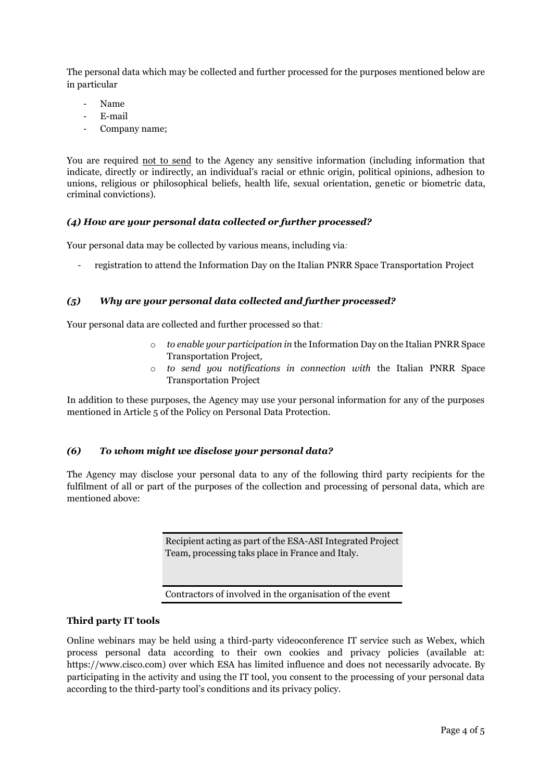The personal data which may be collected and further processed for the purposes mentioned below are in particular

- Name
- E-mail
- Company name;

You are required not to send to the Agency any sensitive information (including information that indicate, directly or indirectly, an individual's racial or ethnic origin, political opinions, adhesion to unions, religious or philosophical beliefs, health life, sexual orientation, genetic or biometric data, criminal convictions).

### *(4) How are your personal data collected or further processed?*

Your personal data may be collected by various means, including via*:*

- registration to attend the Information Day on the Italian PNRR Space Transportation Project

#### *(5) Why are your personal data collected and further processed?*

Your personal data are collected and further processed so that*:* 

- o *to enable your participation in* the Information Day on the Italian PNRR Space Transportation Project*,*
- o *to send you notifications in connection with* the Italian PNRR Space Transportation Project

In addition to these purposes, the Agency may use your personal information for any of the purposes mentioned in Article 5 of the Policy on Personal Data Protection.

#### *(6) To whom might we disclose your personal data?*

The Agency may disclose your personal data to any of the following third party recipients for the fulfilment of all or part of the purposes of the collection and processing of personal data, which are mentioned above:

> Recipient acting as part of the ESA-ASI Integrated Project Team, processing taks place in France and Italy.

Contractors of involved in the organisation of the event

#### **Third party IT tools**

Online webinars may be held using a third-party videoconference IT service such as Webex, which process personal data according to their own cookies and privacy policies (available at: https://www.cisco.com) over which ESA has limited influence and does not necessarily advocate. By participating in the activity and using the IT tool, you consent to the processing of your personal data according to the third-party tool's conditions and its privacy policy.